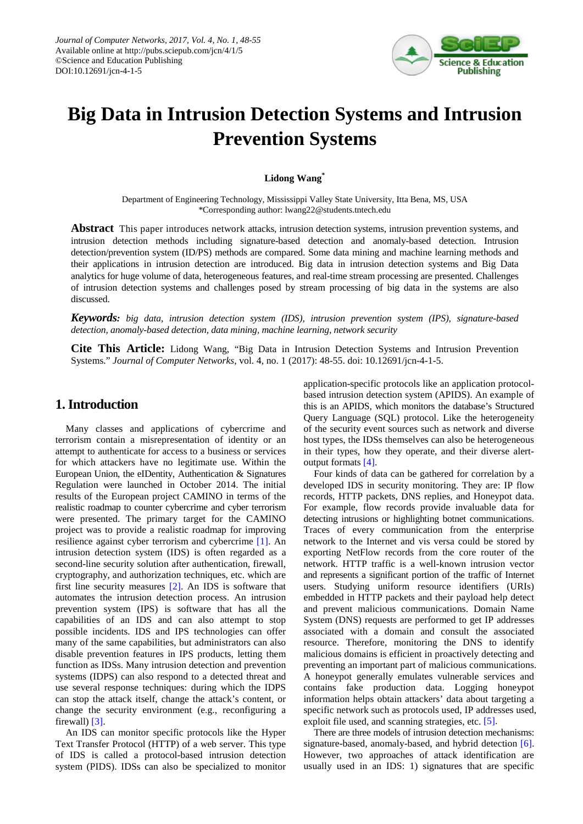

# **Big Data in Intrusion Detection Systems and Intrusion Prevention Systems**

**Lidong Wang\***

Department of Engineering Technology, Mississippi Valley State University, Itta Bena, MS, USA \*Corresponding author: lwang22@students.tntech.edu

**Abstract** This paper introduces network attacks, intrusion detection systems, intrusion prevention systems, and intrusion detection methods including signature-based detection and anomaly-based detection. Intrusion detection/prevention system (ID/PS) methods are compared. Some data mining and machine learning methods and their applications in intrusion detection are introduced. Big data in intrusion detection systems and Big Data analytics for huge volume of data, heterogeneous features, and real-time stream processing are presented. Challenges of intrusion detection systems and challenges posed by stream processing of big data in the systems are also discussed.

*Keywords: big data, intrusion detection system (IDS), intrusion prevention system (IPS), signature-based detection, anomaly-based detection, data mining, machine learning, network security*

**Cite This Article:** Lidong Wang, "Big Data in Intrusion Detection Systems and Intrusion Prevention Systems." *Journal of Computer Networks*, vol. 4, no. 1 (2017): 48-55. doi: 10.12691/jcn-4-1-5.

#### **1. Introduction**

Many classes and applications of cybercrime and terrorism contain a misrepresentation of identity or an attempt to authenticate for access to a business or services for which attackers have no legitimate use. Within the European Union, the eIDentity, Authentication & Signatures Regulation were launched in October 2014. The initial results of the European project CAMINO in terms of the realistic roadmap to counter cybercrime and cyber terrorism were presented. The primary target for the CAMINO project was to provide a realistic roadmap for improving resilience against cyber terrorism and cybercrime [\[1\].](#page-6-0) An intrusion detection system (IDS) is often regarded as a second-line security solution after authentication, firewall, cryptography, and authorization techniques, etc. which are first line security measures [\[2\].](#page-6-1) An IDS is software that automates the intrusion detection process. An intrusion prevention system (IPS) is software that has all the capabilities of an IDS and can also attempt to stop possible incidents. IDS and IPS technologies can offer many of the same capabilities, but administrators can also disable prevention features in IPS products, letting them function as IDSs. Many intrusion detection and prevention systems (IDPS) can also respond to a detected threat and use several response techniques: during which the IDPS can stop the attack itself, change the attack's content, or change the security environment (e.g., reconfiguring a firewall) [\[3\].](#page-6-2)

An IDS can monitor specific protocols like the Hyper Text Transfer Protocol (HTTP) of a web server. This type of IDS is called a protocol-based intrusion detection system (PIDS). IDSs can also be specialized to monitor

application-specific protocols like an application protocolbased intrusion detection system (APIDS). An example of this is an APIDS, which monitors the database's Structured Query Language (SQL) protocol. Like the heterogeneity of the security event sources such as network and diverse host types, the IDSs themselves can also be heterogeneous in their types, how they operate, and their diverse alertoutput formats [\[4\].](#page-6-3)

Four kinds of data can be gathered for correlation by a developed IDS in security monitoring. They are: IP flow records, HTTP packets, DNS replies, and Honeypot data. For example, flow records provide invaluable data for detecting intrusions or highlighting botnet communications. Traces of every communication from the enterprise network to the Internet and vis versa could be stored by exporting NetFlow records from the core router of the network. HTTP traffic is a well-known intrusion vector and represents a significant portion of the traffic of Internet users. Studying uniform resource identifiers (URIs) embedded in HTTP packets and their payload help detect and prevent malicious communications. Domain Name System (DNS) requests are performed to get IP addresses associated with a domain and consult the associated resource. Therefore, monitoring the DNS to identify malicious domains is efficient in proactively detecting and preventing an important part of malicious communications. A honeypot generally emulates vulnerable services and contains fake production data. Logging honeypot information helps obtain attackers' data about targeting a specific network such as protocols used, IP addresses used, exploit file used, and scanning strategies, etc. [\[5\].](#page-6-4)

There are three models of intrusion detection mechanisms: signature-based, anomaly-based, and hybrid detection [\[6\].](#page-6-5) However, two approaches of attack identification are usually used in an IDS: 1) signatures that are specific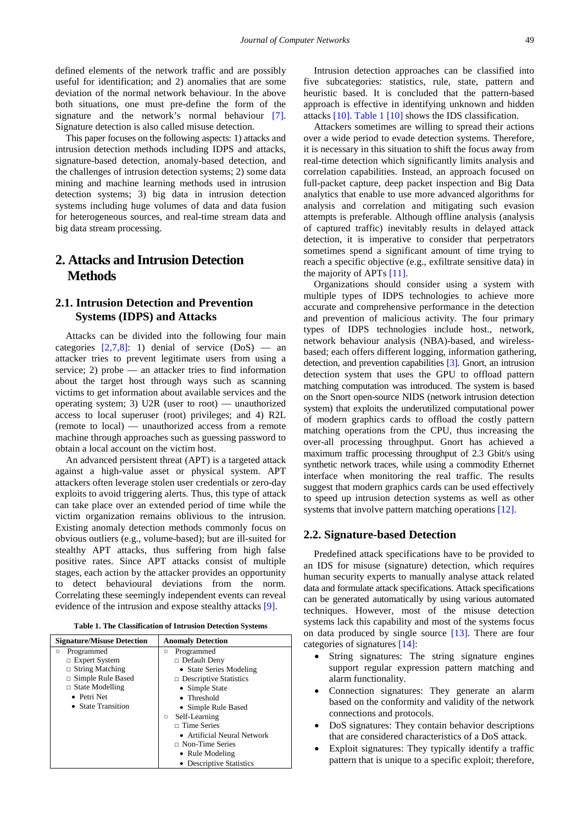defined elements of the network traffic and are possibly useful for identification; and 2) anomalies that are some deviation of the normal network behaviour. In the above both situations, one must pre-define the form of the signature and the network's normal behaviour [\[7\].](#page-6-6) Signature detection is also called misuse detection.

This paper focuses on the following aspects: 1) attacks and intrusion detection methods including IDPS and attacks, signature-based detection, anomaly-based detection, and the challenges of intrusion detection systems; 2) some data mining and machine learning methods used in intrusion detection systems; 3) big data in intrusion detection systems including huge volumes of data and data fusion for heterogeneous sources, and real-time stream data and big data stream processing.

## **2. Attacks and Intrusion Detection Methods**

#### **2.1. Intrusion Detection and Prevention Systems (IDPS) and Attacks**

Attacks can be divided into the following four main categories  $[2,7,8]$ : 1) denial of service  $(DoS)$  — an attacker tries to prevent legitimate users from using a service; 2) probe — an attacker tries to find information about the target host through ways such as scanning victims to get information about available services and the operating system; 3) U2R (user to root) — unauthorized access to local superuser (root) privileges; and 4) R2L (remote to local) — unauthorized access from a remote machine through approaches such as guessing password to obtain a local account on the victim host.

An advanced persistent threat (APT) is a targeted attack against a high-value asset or physical system. APT attackers often leverage stolen user credentials or zero-day exploits to avoid triggering alerts. Thus, this type of attack can take place over an extended period of time while the victim organization remains oblivious to the intrusion. Existing anomaly detection methods commonly focus on obvious outliers (e.g., volume-based); but are ill-suited for stealthy APT attacks, thus suffering from high false positive rates. Since APT attacks consist of multiple stages, each action by the attacker provides an opportunity to detect behavioural deviations from the norm. Correlating these seemingly independent events can reveal evidence of the intrusion and expose stealthy attacks [\[9\].](#page-6-7)

|  |  |  |  |  | Table 1. The Classification of Intrusion Detection Systems |  |
|--|--|--|--|--|------------------------------------------------------------|--|
|--|--|--|--|--|------------------------------------------------------------|--|

<span id="page-1-0"></span>

| <b>Signature/Misuse Detection</b> | <b>Anomaly Detection</b>      |
|-----------------------------------|-------------------------------|
| Programmed<br>$\circ$             | Programmed<br>Ο               |
| $\Box$ Expert System              | $\Box$ Default Deny           |
| $\Box$ String Matching            | • State Series Modeling       |
| $\Box$ Simple Rule Based          | $\Box$ Descriptive Statistics |
| $\Box$ State Modelling            | • Simple State                |
| • Petri Net                       | • Threshold                   |
| • State Transition                | • Simple Rule Based           |
|                                   | Self-Learning<br>$\circ$      |
|                                   | $\Box$ Time Series            |
|                                   | • Artificial Neural Network   |
|                                   | $\Box$ Non-Time Series        |
|                                   | • Rule Modeling               |
|                                   | • Descriptive Statistics      |

Intrusion detection approaches can be classified into five subcategories: statistics, rule, state, pattern and heuristic based. It is concluded that the pattern-based approach is effective in identifying unknown and hidden attacks [\[10\].](#page-6-8) [Table 1](#page-1-0) [\[10\]](#page-6-8) shows the IDS classification.

Attackers sometimes are willing to spread their actions over a wide period to evade detection systems. Therefore, it is necessary in this situation to shift the focus away from real-time detection which significantly limits analysis and correlation capabilities. Instead, an approach focused on full-packet capture, deep packet inspection and Big Data analytics that enable to use more advanced algorithms for analysis and correlation and mitigating such evasion attempts is preferable. Although offline analysis (analysis of captured traffic) inevitably results in delayed attack detection, it is imperative to consider that perpetrators sometimes spend a significant amount of time trying to reach a specific objective (e.g., exfiltrate sensitive data) in the majority of APTs [\[11\].](#page-6-9)

Organizations should consider using a system with multiple types of IDPS technologies to achieve more accurate and comprehensive performance in the detection and prevention of malicious activity. The four primary types of IDPS technologies include host., network, network behaviour analysis (NBA)-based, and wirelessbased; each offers different logging, information gathering, detection, and prevention capabilities [\[3\].](#page-6-2) Gnort, an intrusion detection system that uses the GPU to offload pattern matching computation was introduced. The system is based on the Snort open-source NIDS (network intrusion detection system) that exploits the underutilized computational power of modern graphics cards to offload the costly pattern matching operations from the CPU, thus increasing the over-all processing throughput. Gnort has achieved a maximum traffic processing throughput of 2.3 Gbit/s using synthetic network traces, while using a commodity Ethernet interface when monitoring the real traffic. The results suggest that modern graphics cards can be used effectively to speed up intrusion detection systems as well as other systems that involve pattern matching operations [\[12\].](#page-6-10)

#### **2.2. Signature-based Detection**

Predefined attack specifications have to be provided to an IDS for misuse (signature) detection, which requires human security experts to manually analyse attack related data and formulate attack specifications. Attack specifications can be generated automatically by using various automated techniques. However, most of the misuse detection systems lack this capability and most of the systems focus on data produced by single source [\[13\].](#page-7-0) There are four categories of signatures [\[14\]:](#page-7-1)

- String signatures: The string signature engines support regular expression pattern matching and alarm functionality.
- Connection signatures: They generate an alarm based on the conformity and validity of the network connections and protocols.
- DoS signatures: They contain behavior descriptions that are considered characteristics of a DoS attack.
- Exploit signatures: They typically identify a traffic pattern that is unique to a specific exploit; therefore,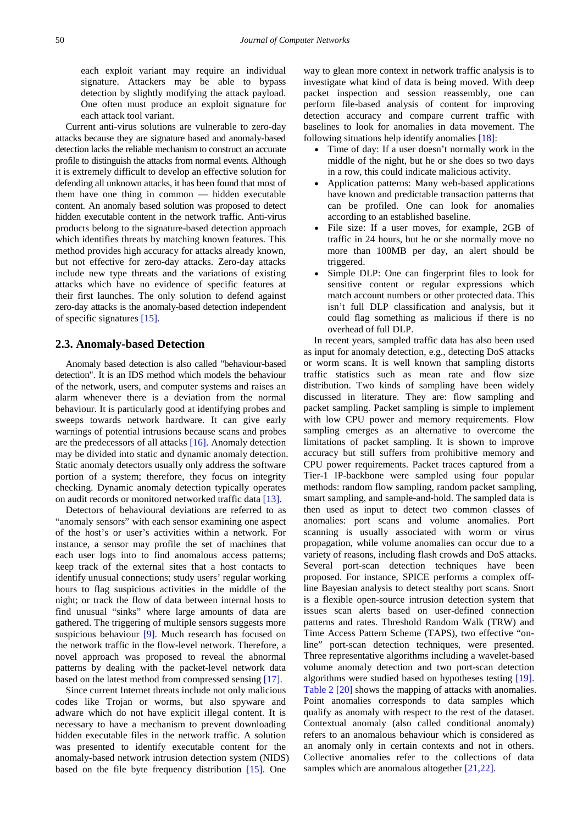each exploit variant may require an individual signature. Attackers may be able to bypass detection by slightly modifying the attack payload. One often must produce an exploit signature for each attack tool variant.

Current anti-virus solutions are vulnerable to zero-day attacks because they are signature based and anomaly-based detection lacks the reliable mechanism to construct an accurate profile to distinguish the attacks from normal events. Although it is extremely difficult to develop an effective solution for defending all unknown attacks, it has been found that most of them have one thing in common — hidden executable content. An anomaly based solution was proposed to detect hidden executable content in the network traffic. Anti-virus products belong to the signature-based detection approach which identifies threats by matching known features. This method provides high accuracy for attacks already known, but not effective for zero-day attacks. Zero-day attacks include new type threats and the variations of existing attacks which have no evidence of specific features at their first launches. The only solution to defend against zero-day attacks is the anomaly-based detection independent of specific signatures [\[15\].](#page-7-2)

#### **2.3. Anomaly-based Detection**

Anomaly based detection is also called "behaviour-based detection". It is an IDS method which models the behaviour of the network, users, and computer systems and raises an alarm whenever there is a deviation from the normal behaviour. It is particularly good at identifying probes and sweeps towards network hardware. It can give early warnings of potential intrusions because scans and probes are the predecessors of all attacks [\[16\].](#page-7-3) Anomaly detection may be divided into static and dynamic anomaly detection. Static anomaly detectors usually only address the software portion of a system; therefore, they focus on integrity checking. Dynamic anomaly detection typically operates on audit records or monitored networked traffic data [\[13\].](#page-7-0) 

Detectors of behavioural deviations are referred to as "anomaly sensors" with each sensor examining one aspect of the host's or user's activities within a network. For instance, a sensor may profile the set of machines that each user logs into to find anomalous access patterns; keep track of the external sites that a host contacts to identify unusual connections; study users' regular working hours to flag suspicious activities in the middle of the night; or track the flow of data between internal hosts to find unusual "sinks" where large amounts of data are gathered. The triggering of multiple sensors suggests more suspicious behaviour [\[9\].](#page-6-7) Much research has focused on the network traffic in the flow-level network. Therefore, a novel approach was proposed to reveal the abnormal patterns by dealing with the packet-level network data based on the latest method from compressed sensing [\[17\].](#page-7-4)

Since current Internet threats include not only malicious codes like Trojan or worms, but also spyware and adware which do not have explicit illegal content. It is necessary to have a mechanism to prevent downloading hidden executable files in the network traffic. A solution was presented to identify executable content for the anomaly-based network intrusion detection system (NIDS) based on the file byte frequency distribution [\[15\].](#page-7-2) One

way to glean more context in network traffic analysis is to investigate what kind of data is being moved. With deep packet inspection and session reassembly, one can perform file-based analysis of content for improving detection accuracy and compare current traffic with baselines to look for anomalies in data movement. The following situations help identify anomalies [\[18\]:](#page-7-5)

- Time of day: If a user doesn't normally work in the middle of the night, but he or she does so two days in a row, this could indicate malicious activity.
- Application patterns: Many web-based applications have known and predictable transaction patterns that can be profiled. One can look for anomalies according to an established baseline.
- File size: If a user moves, for example, 2GB of traffic in 24 hours, but he or she normally move no more than 100MB per day, an alert should be triggered.
- Simple DLP: One can fingerprint files to look for sensitive content or regular expressions which match account numbers or other protected data. This isn't full DLP classification and analysis, but it could flag something as malicious if there is no overhead of full DLP.

In recent years, sampled traffic data has also been used as input for anomaly detection, e.g., detecting DoS attacks or worm scans. It is well known that sampling distorts traffic statistics such as mean rate and flow size distribution. Two kinds of sampling have been widely discussed in literature. They are: flow sampling and packet sampling. Packet sampling is simple to implement with low CPU power and memory requirements. Flow sampling emerges as an alternative to overcome the limitations of packet sampling. It is shown to improve accuracy but still suffers from prohibitive memory and CPU power requirements. Packet traces captured from a Tier-1 IP-backbone were sampled using four popular methods: random flow sampling, random packet sampling, smart sampling, and sample-and-hold. The sampled data is then used as input to detect two common classes of anomalies: port scans and volume anomalies. Port scanning is usually associated with worm or virus propagation, while volume anomalies can occur due to a variety of reasons, including flash crowds and DoS attacks. Several port-scan detection techniques have been proposed. For instance, SPICE performs a complex offline Bayesian analysis to detect stealthy port scans. Snort is a flexible open-source intrusion detection system that issues scan alerts based on user-defined connection patterns and rates. Threshold Random Walk (TRW) and Time Access Pattern Scheme (TAPS), two effective "online" port-scan detection techniques, were presented. Three representative algorithms including a wavelet-based volume anomaly detection and two port-scan detection algorithms were studied based on hypotheses testing [\[19\].](#page-7-6) [Table 2](#page-3-0) [\[20\]](#page-7-7) shows the mapping of attacks with anomalies. Point anomalies corresponds to data samples which qualify as anomaly with respect to the rest of the dataset. Contextual anomaly (also called conditional anomaly) refers to an anomalous behaviour which is considered as an anomaly only in certain contexts and not in others. Collective anomalies refer to the collections of data samples which are anomalous altogether [\[21,22\].](#page-7-8)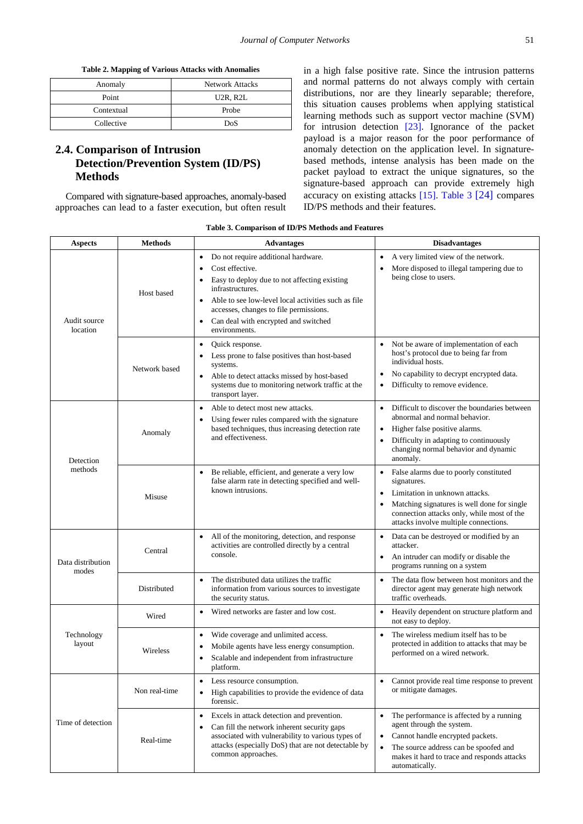**Table 2. Mapping of Various Attacks with Anomalies** 

<span id="page-3-0"></span>

| Anomaly    | <b>Network Attacks</b>             |
|------------|------------------------------------|
| Point      | U <sub>2</sub> R, R <sub>2</sub> L |
| Contextual | Probe                              |
| Collective | DoS                                |

### **2.4. Comparison of Intrusion Detection/Prevention System (ID/PS) Methods**

Compared with signature-based approaches, anomaly-based approaches can lead to a faster execution, but often result

in a high false positive rate. Since the intrusion patterns and normal patterns do not always comply with certain distributions, nor are they linearly separable; therefore, this situation causes problems when applying statistical learning methods such as support vector machine (SVM) for intrusion detection [\[23\].](#page-7-9) Ignorance of the packet payload is a major reason for the poor performance of anomaly detection on the application level. In signaturebased methods, intense analysis has been made on the packet payload to extract the unique signatures, so the signature-based approach can provide extremely high accuracy on existing attacks [\[15\].](#page-7-2) [Table 3](#page-3-1) [\[24\]](#page-7-10) compares ID/PS methods and their features.

|  |  |  | Table 3. Comparison of ID/PS Methods and Features |  |
|--|--|--|---------------------------------------------------|--|
|--|--|--|---------------------------------------------------|--|

<span id="page-3-1"></span>

| <b>Aspects</b>             | <b>Methods</b> | <b>Advantages</b>                                                                                                                                                                                                                                                                                              | <b>Disadvantages</b>                                                                                                                                                                                                                                       |  |
|----------------------------|----------------|----------------------------------------------------------------------------------------------------------------------------------------------------------------------------------------------------------------------------------------------------------------------------------------------------------------|------------------------------------------------------------------------------------------------------------------------------------------------------------------------------------------------------------------------------------------------------------|--|
| Audit source<br>location   | Host based     | Do not require additional hardware.<br>$\bullet$<br>Cost effective.<br>Easy to deploy due to not affecting existing<br>infrastructures.<br>Able to see low-level local activities such as file<br>accesses, changes to file permissions.<br>Can deal with encrypted and switched<br>$\bullet$<br>environments. | A very limited view of the network.<br>$\bullet$<br>More disposed to illegal tampering due to<br>$\bullet$<br>being close to users.                                                                                                                        |  |
|                            | Network based  | Quick response.<br>$\bullet$<br>Less prone to false positives than host-based<br>٠<br>systems.<br>Able to detect attacks missed by host-based<br>$\bullet$<br>systems due to monitoring network traffic at the<br>transport layer.                                                                             | Not be aware of implementation of each<br>$\bullet$<br>host's protocol due to being far from<br>individual hosts.<br>No capability to decrypt encrypted data.<br>$\bullet$<br>Difficulty to remove evidence.<br>$\bullet$                                  |  |
| Detection<br>methods       | Anomaly        | Able to detect most new attacks.<br>Using fewer rules compared with the signature<br>based techniques, thus increasing detection rate<br>and effectiveness.                                                                                                                                                    | Difficult to discover the boundaries between<br>$\bullet$<br>abnormal and normal behavior.<br>Higher false positive alarms.<br>$\bullet$<br>Difficulty in adapting to continuously<br>$\bullet$<br>changing normal behavior and dynamic<br>anomaly.        |  |
|                            | Misuse         | Be reliable, efficient, and generate a very low<br>false alarm rate in detecting specified and well-<br>known intrusions.                                                                                                                                                                                      | • False alarms due to poorly constituted<br>signatures.<br>Limitation in unknown attacks.<br>$\bullet$<br>Matching signatures is well done for single<br>$\bullet$<br>connection attacks only, while most of the<br>attacks involve multiple connections.  |  |
| Data distribution<br>modes | Central        | All of the monitoring, detection, and response<br>activities are controlled directly by a central<br>console.                                                                                                                                                                                                  | Data can be destroyed or modified by an<br>$\bullet$<br>attacker.<br>An intruder can modify or disable the<br>$\bullet$<br>programs running on a system                                                                                                    |  |
|                            | Distributed    | The distributed data utilizes the traffic<br>$\bullet$<br>information from various sources to investigate<br>the security status.                                                                                                                                                                              | The data flow between host monitors and the<br>$\bullet$<br>director agent may generate high network<br>traffic overheads.                                                                                                                                 |  |
| Technology<br>layout       | Wired          | Wired networks are faster and low cost.<br>$\bullet$                                                                                                                                                                                                                                                           | Heavily dependent on structure platform and<br>$\bullet$<br>not easy to deploy.                                                                                                                                                                            |  |
|                            | Wireless       | Wide coverage and unlimited access.<br>$\bullet$<br>Mobile agents have less energy consumption.<br>$\bullet$<br>Scalable and independent from infrastructure<br>$\bullet$<br>platform.                                                                                                                         | The wireless medium itself has to be.<br>$\bullet$<br>protected in addition to attacks that may be<br>performed on a wired network.                                                                                                                        |  |
| Time of detection          | Non real-time  | Less resource consumption.<br>$\bullet$<br>High capabilities to provide the evidence of data<br>$\bullet$<br>forensic.                                                                                                                                                                                         | Cannot provide real time response to prevent<br>٠<br>or mitigate damages.                                                                                                                                                                                  |  |
|                            | Real-time      | Excels in attack detection and prevention.<br>$\bullet$<br>Can fill the network inherent security gaps<br>$\bullet$<br>associated with vulnerability to various types of<br>attacks (especially DoS) that are not detectable by<br>common approaches.                                                          | The performance is affected by a running<br>$\bullet$<br>agent through the system.<br>Cannot handle encrypted packets.<br>$\bullet$<br>The source address can be spoofed and<br>$\bullet$<br>makes it hard to trace and responds attacks<br>automatically. |  |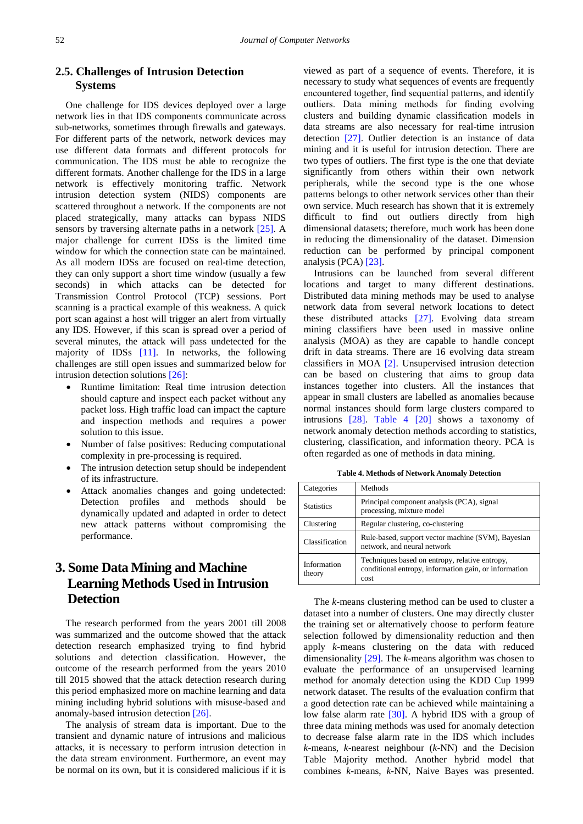#### **2.5. Challenges of Intrusion Detection Systems**

One challenge for IDS devices deployed over a large network lies in that IDS components communicate across sub-networks, sometimes through firewalls and gateways. For different parts of the network, network devices may use different data formats and different protocols for communication. The IDS must be able to recognize the different formats. Another challenge for the IDS in a large network is effectively monitoring traffic. Network intrusion detection system (NIDS) components are scattered throughout a network. If the components are not placed strategically, many attacks can bypass NIDS sensors by traversing alternate paths in a network [\[25\].](#page-7-11) A major challenge for current IDSs is the limited time window for which the connection state can be maintained. As all modern IDSs are focused on real-time detection, they can only support a short time window (usually a few seconds) in which attacks can be detected for Transmission Control Protocol (TCP) sessions. Port scanning is a practical example of this weakness. A quick port scan against a host will trigger an alert from virtually any IDS. However, if this scan is spread over a period of several minutes, the attack will pass undetected for the majority of IDSs [\[11\].](#page-6-9) In networks, the following challenges are still open issues and summarized below for intrusion detection solutions [\[26\]:](#page-7-12)

- Runtime limitation: Real time intrusion detection should capture and inspect each packet without any packet loss. High traffic load can impact the capture and inspection methods and requires a power solution to this issue.
- Number of false positives: Reducing computational complexity in pre-processing is required.
- The intrusion detection setup should be independent of its infrastructure.
- Attack anomalies changes and going undetected: Detection profiles and methods should be dynamically updated and adapted in order to detect new attack patterns without compromising the performance.

# **3. Some Data Mining and Machine Learning Methods Used in Intrusion Detection**

The research performed from the years 2001 till 2008 was summarized and the outcome showed that the attack detection research emphasized trying to find hybrid solutions and detection classification. However, the outcome of the research performed from the years 2010 till 2015 showed that the attack detection research during this period emphasized more on machine learning and data mining including hybrid solutions with misuse-based and anomaly-based intrusion detection [\[26\].](#page-7-12)

The analysis of stream data is important. Due to the transient and dynamic nature of intrusions and malicious attacks, it is necessary to perform intrusion detection in the data stream environment. Furthermore, an event may be normal on its own, but it is considered malicious if it is

viewed as part of a sequence of events. Therefore, it is necessary to study what sequences of events are frequently encountered together, find sequential patterns, and identify outliers. Data mining methods for finding evolving clusters and building dynamic classification models in data streams are also necessary for real-time intrusion detection [\[27\].](#page-7-13) Outlier detection is an instance of data mining and it is useful for intrusion detection. There are two types of outliers. The first type is the one that deviate significantly from others within their own network peripherals, while the second type is the one whose patterns belongs to other network services other than their own service. Much research has shown that it is extremely difficult to find out outliers directly from high dimensional datasets; therefore, much work has been done in reducing the dimensionality of the dataset. Dimension reduction can be performed by principal component analysis (PCA) [\[23\].](#page-7-9)

Intrusions can be launched from several different locations and target to many different destinations. Distributed data mining methods may be used to analyse network data from several network locations to detect these distributed attacks [\[27\].](#page-7-13) Evolving data stream mining classifiers have been used in massive online analysis (MOA) as they are capable to handle concept drift in data streams. There are 16 evolving data stream classifiers in MOA [\[2\].](#page-6-1) Unsupervised intrusion detection can be based on clustering that aims to group data instances together into clusters. All the instances that appear in small clusters are labelled as anomalies because normal instances should form large clusters compared to intrusions [\[28\].](#page-7-14) [Table 4](#page-4-0) [\[20\]](#page-7-7) shows a taxonomy of network anomaly detection methods according to statistics, clustering, classification, and information theory. PCA is often regarded as one of methods in data mining.

**Table 4. Methods of Network Anomaly Detection**

<span id="page-4-0"></span>

| Categories            | Methods                                                                                                         |
|-----------------------|-----------------------------------------------------------------------------------------------------------------|
| <b>Statistics</b>     | Principal component analysis (PCA), signal<br>processing, mixture model                                         |
| Clustering            | Regular clustering, co-clustering                                                                               |
| Classification        | Rule-based, support vector machine (SVM), Bayesian<br>network, and neural network                               |
| Information<br>theory | Techniques based on entropy, relative entropy,<br>conditional entropy, information gain, or information<br>cost |

The *k*-means clustering method can be used to cluster a dataset into a number of clusters. One may directly cluster the training set or alternatively choose to perform feature selection followed by dimensionality reduction and then apply *k*-means clustering on the data with reduced dimensionality [\[29\].](#page-7-15) The *k*-means algorithm was chosen to evaluate the performance of an unsupervised learning method for anomaly detection using the KDD Cup 1999 network dataset. The results of the evaluation confirm that a good detection rate can be achieved while maintaining a low false alarm rate [\[30\].](#page-7-16) A hybrid IDS with a group of three data mining methods was used for anomaly detection to decrease false alarm rate in the IDS which includes *k*-means, *k*-nearest neighbour (*k*-NN) and the Decision Table Majority method. Another hybrid model that combines *k*-means, *k*-NN, Naive Bayes was presented.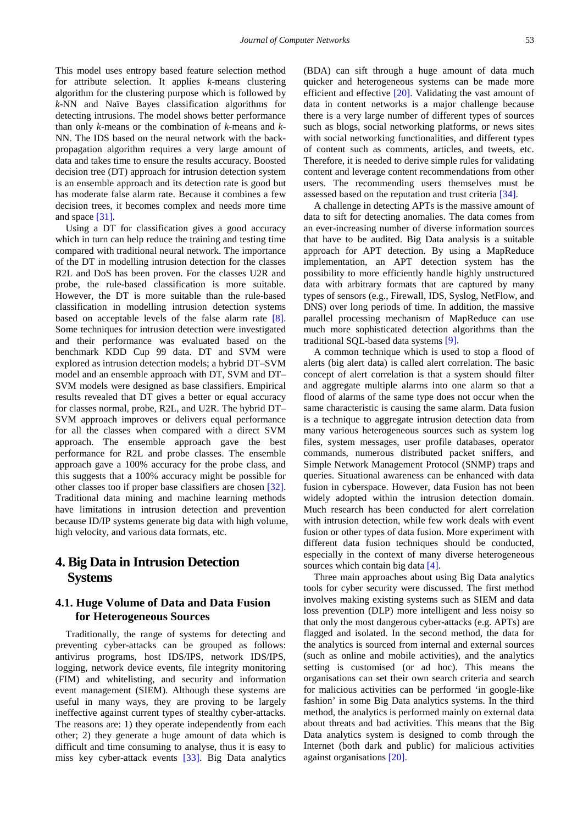This model uses entropy based feature selection method for attribute selection. It applies *k*-means clustering algorithm for the clustering purpose which is followed by *k*-NN and Naïve Bayes classification algorithms for detecting intrusions. The model shows better performance than only *k*-means or the combination of *k*-means and *k*-NN. The IDS based on the neural network with the backpropagation algorithm requires a very large amount of data and takes time to ensure the results accuracy. Boosted decision tree (DT) approach for intrusion detection system is an ensemble approach and its detection rate is good but has moderate false alarm rate. Because it combines a few decision trees, it becomes complex and needs more time and space [\[31\].](#page-7-17)

Using a DT for classification gives a good accuracy which in turn can help reduce the training and testing time compared with traditional neural network. The importance of the DT in modelling intrusion detection for the classes R2L and DoS has been proven. For the classes U2R and probe, the rule-based classification is more suitable. However, the DT is more suitable than the rule-based classification in modelling intrusion detection systems based on acceptable levels of the false alarm rate [\[8\].](#page-6-11) Some techniques for intrusion detection were investigated and their performance was evaluated based on the benchmark KDD Cup 99 data. DT and SVM were explored as intrusion detection models; a hybrid DT–SVM model and an ensemble approach with DT, SVM and DT– SVM models were designed as base classifiers. Empirical results revealed that DT gives a better or equal accuracy for classes normal, probe, R2L, and U2R. The hybrid DT– SVM approach improves or delivers equal performance for all the classes when compared with a direct SVM approach. The ensemble approach gave the best performance for R2L and probe classes. The ensemble approach gave a 100% accuracy for the probe class, and this suggests that a 100% accuracy might be possible for other classes too if proper base classifiers are chosen [\[32\].](#page-7-18) Traditional data mining and machine learning methods have limitations in intrusion detection and prevention because ID/IP systems generate big data with high volume, high velocity, and various data formats, etc.

## **4. Big Data in Intrusion Detection Systems**

#### **4.1. Huge Volume of Data and Data Fusion for Heterogeneous Sources**

Traditionally, the range of systems for detecting and preventing cyber-attacks can be grouped as follows: antivirus programs, host IDS/IPS, network IDS/IPS, logging, network device events, file integrity monitoring (FIM) and whitelisting, and security and information event management (SIEM). Although these systems are useful in many ways, they are proving to be largely ineffective against current types of stealthy cyber-attacks. The reasons are: 1) they operate independently from each other; 2) they generate a huge amount of data which is difficult and time consuming to analyse, thus it is easy to miss key cyber-attack events [\[33\].](#page-7-19) Big Data analytics

(BDA) can sift through a huge amount of data much quicker and heterogeneous systems can be made more efficient and effective [\[20\].](#page-7-7) Validating the vast amount of data in content networks is a major challenge because there is a very large number of different types of sources such as blogs, social networking platforms, or news sites with social networking functionalities, and different types of content such as comments, articles, and tweets, etc. Therefore, it is needed to derive simple rules for validating content and leverage content recommendations from other users. The recommending users themselves must be assessed based on the reputation and trust criteria [\[34\].](#page-7-20)

A challenge in detecting APTs is the massive amount of data to sift for detecting anomalies. The data comes from an ever-increasing number of diverse information sources that have to be audited. Big Data analysis is a suitable approach for APT detection. By using a MapReduce implementation, an APT detection system has the possibility to more efficiently handle highly unstructured data with arbitrary formats that are captured by many types of sensors (e.g., Firewall, IDS, Syslog, NetFlow, and DNS) over long periods of time. In addition, the massive parallel processing mechanism of MapReduce can use much more sophisticated detection algorithms than the traditional SQL-based data system[s \[9\].](#page-6-7)

A common technique which is used to stop a flood of alerts (big alert data) is called alert correlation. The basic concept of alert correlation is that a system should filter and aggregate multiple alarms into one alarm so that a flood of alarms of the same type does not occur when the same characteristic is causing the same alarm. Data fusion is a technique to aggregate intrusion detection data from many various heterogeneous sources such as system log files, system messages, user profile databases, operator commands, numerous distributed packet sniffers, and Simple Network Management Protocol (SNMP) traps and queries. Situational awareness can be enhanced with data fusion in cyberspace. However, data Fusion has not been widely adopted within the intrusion detection domain. Much research has been conducted for alert correlation with intrusion detection, while few work deals with event fusion or other types of data fusion. More experiment with different data fusion techniques should be conducted, especially in the context of many diverse heterogeneous sources which contain big data [\[4\].](#page-6-3)

Three main approaches about using Big Data analytics tools for cyber security were discussed. The first method involves making existing systems such as SIEM and data loss prevention (DLP) more intelligent and less noisy so that only the most dangerous cyber-attacks (e.g. APTs) are flagged and isolated. In the second method, the data for the analytics is sourced from internal and external sources (such as online and mobile activities), and the analytics setting is customised (or ad hoc). This means the organisations can set their own search criteria and search for malicious activities can be performed 'in google-like fashion' in some Big Data analytics systems. In the third method, the analytics is performed mainly on external data about threats and bad activities. This means that the Big Data analytics system is designed to comb through the Internet (both dark and public) for malicious activities against organisations [\[20\].](#page-7-7)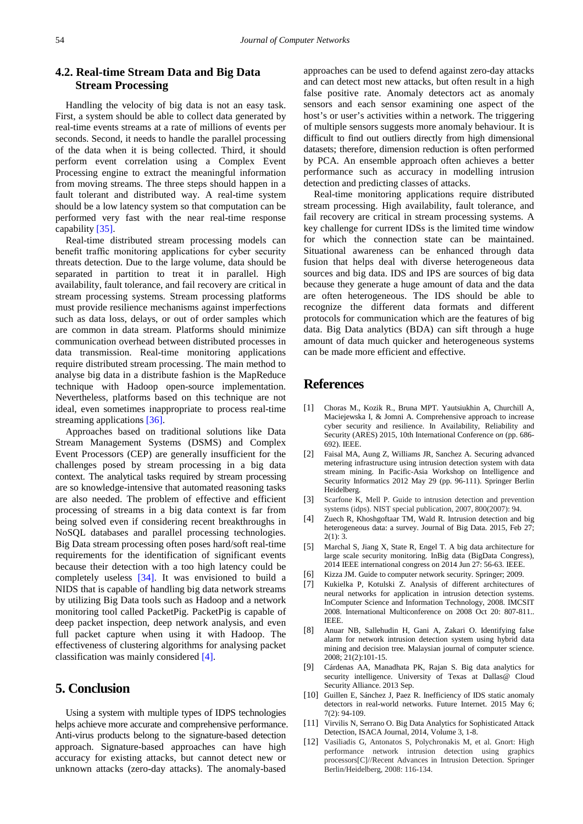#### **4.2. Real-time Stream Data and Big Data Stream Processing**

Handling the velocity of big data is not an easy task. First, a system should be able to collect data generated by real-time events streams at a rate of millions of events per seconds. Second, it needs to handle the parallel processing of the data when it is being collected. Third, it should perform event correlation using a Complex Event Processing engine to extract the meaningful information from moving streams. The three steps should happen in a fault tolerant and distributed way. A real-time system should be a low latency system so that computation can be performed very fast with the near real-time response capabilit[y \[35\].](#page-7-21)

Real-time distributed stream processing models can benefit traffic monitoring applications for cyber security threats detection. Due to the large volume, data should be separated in partition to treat it in parallel. High availability, fault tolerance, and fail recovery are critical in stream processing systems. Stream processing platforms must provide resilience mechanisms against imperfections such as data loss, delays, or out of order samples which are common in data stream. Platforms should minimize communication overhead between distributed processes in data transmission. Real-time monitoring applications require distributed stream processing. The main method to analyse big data in a distribute fashion is the MapReduce technique with Hadoop open-source implementation. Nevertheless, platforms based on this technique are not ideal, even sometimes inappropriate to process real-time streaming applications [\[36\].](#page-7-22)

Approaches based on traditional solutions like Data Stream Management Systems (DSMS) and Complex Event Processors (CEP) are generally insufficient for the challenges posed by stream processing in a big data context. The analytical tasks required by stream processing are so knowledge-intensive that automated reasoning tasks are also needed. The problem of effective and efficient processing of streams in a big data context is far from being solved even if considering recent breakthroughs in NoSQL databases and parallel processing technologies. Big Data stream processing often poses hard/soft real-time requirements for the identification of significant events because their detection with a too high latency could be completely useless [\[34\].](#page-7-20) It was envisioned to build a NIDS that is capable of handling big data network streams by utilizing Big Data tools such as Hadoop and a network monitoring tool called PacketPig. PacketPig is capable of deep packet inspection, deep network analysis, and even full packet capture when using it with Hadoop. The effectiveness of clustering algorithms for analysing packet classification was mainly considered [\[4\].](#page-6-3)

#### **5. Conclusion**

Using a system with multiple types of IDPS technologies helps achieve more accurate and comprehensive performance. Anti-virus products belong to the signature-based detection approach. Signature-based approaches can have high accuracy for existing attacks, but cannot detect new or unknown attacks (zero-day attacks). The anomaly-based

approaches can be used to defend against zero-day attacks and can detect most new attacks, but often result in a high false positive rate. Anomaly detectors act as anomaly sensors and each sensor examining one aspect of the host's or user's activities within a network. The triggering of multiple sensors suggests more anomaly behaviour. It is difficult to find out outliers directly from high dimensional datasets; therefore, dimension reduction is often performed by PCA. An ensemble approach often achieves a better performance such as accuracy in modelling intrusion detection and predicting classes of attacks.

Real-time monitoring applications require distributed stream processing. High availability, fault tolerance, and fail recovery are critical in stream processing systems. A key challenge for current IDSs is the limited time window for which the connection state can be maintained. Situational awareness can be enhanced through data fusion that helps deal with diverse heterogeneous data sources and big data. IDS and IPS are sources of big data because they generate a huge amount of data and the data are often heterogeneous. The IDS should be able to recognize the different data formats and different protocols for communication which are the features of big data. Big Data analytics (BDA) can sift through a huge amount of data much quicker and heterogeneous systems can be made more efficient and effective.

#### **References**

- <span id="page-6-0"></span>[1] Choras M., Kozik R., Bruna MPT. Yautsiukhin A, Churchill A, Maciejewska I, & Jomni A. Comprehensive approach to increase cyber security and resilience. In Availability, Reliability and Security (ARES) 2015, 10th International Conference o*n* (pp. 686- 692). IEEE.
- <span id="page-6-1"></span>[2] Faisal MA, Aung Z, Williams JR, Sanchez A. Securing advanced metering infrastructure using intrusion detection system with data stream mining. In Pacific-Asia Workshop on Intelligence and Security Informatics 2012 May 29 (pp. 96-111). Springer Berlin Heidelberg.
- <span id="page-6-2"></span>[3] Scarfone K, Mell P. Guide to intrusion detection and prevention systems (idps). NIST special publication, 2007, 800(2007): 94.
- <span id="page-6-3"></span>[4] Zuech R, Khoshgoftaar TM, Wald R. Intrusion detection and big heterogeneous data: a survey. Journal of Big Data. 2015, Feb 27;  $2(1): 3.$
- <span id="page-6-4"></span>[5] Marchal S, Jiang X, State R, Engel T. A big data architecture for large scale security monitoring. InBig data (BigData Congress), 2014 IEEE international congress on 2014 Jun 27: 56-63. IEEE.
- <span id="page-6-5"></span>[6] Kizza JM. Guide to computer network security. Springer; 2009.
- <span id="page-6-6"></span>[7] Kukielka P, Kotulski Z. Analysis of different architectures of neural networks for application in intrusion detection systems. InComputer Science and Information Technology, 2008. IMCSIT 2008. International Multiconference on 2008 Oct 20: 807-811.. **IEEE**
- <span id="page-6-11"></span>[8] Anuar NB, Sallehudin H, Gani A, Zakari O. Identifying false alarm for network intrusion detection system using hybrid data mining and decision tree. Malaysian journal of computer science. 2008; 21(2):101-15.
- <span id="page-6-7"></span>[9] Cárdenas AA, Manadhata PK, Rajan S. Big data analytics for security intelligence. University of Texas at Dallas @ Cloud Security Alliance. 2013 Sep.
- <span id="page-6-8"></span>[10] Guillen E, Sánchez J, Paez R, Inefficiency of IDS static anomaly detectors in real-world networks. Future Internet. 2015 May 6: 7(2): 94-109.
- <span id="page-6-9"></span>[11] Virvilis N, Serrano O. Big Data Analytics for Sophisticated Attack Detection, ISACA Journal, 2014, Volume 3, 1-8.
- <span id="page-6-10"></span>[12] Vasiliadis G, Antonatos S, Polychronakis M, et al. Gnort: High performance network intrusion detection using graphics processors[C]//Recent Advances in Intrusion Detection. Springer Berlin/Heidelberg, 2008: 116-134.